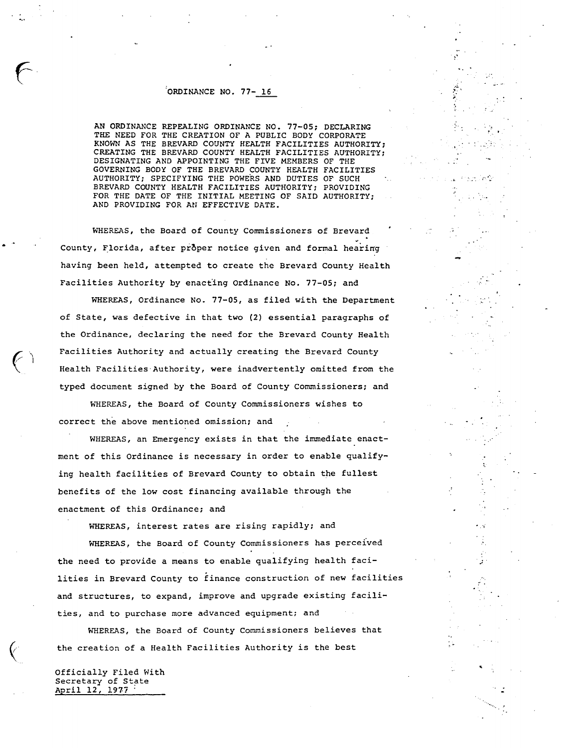## ORDINANCE NO. 77- 16

f

AN ORDINANCE REPEALING ORDINANCE NO. 77-05; DECLARING THE NEED FOR THE CREATION OF A PUBLIC BODY CORPORATE KNOWN AS THE BREVARD COUNTY HEALTH FACILITIES AUTHORITY; CREATING THE BREVARD COUNTY HEALTH FACILITIES AUTHORITY; DESIGNATING AND APPOINTING THE FIVE MEMBERS OF THE GOVERNING BODY OF THE BREVARD COUNTY HEALTH FACILITIES AUTHORITY; SPECIFYING THE POWERS AND DUTIES OF SUCH BREVARD COUNTY HEALTH FACILITIES AUTHORITY; PROVIDING FOR THE DATE OF THE INITIAL MEETING OF SAID AUTHORITY; AND PROVIDING FOR AN EFFECTIVE DATE.

WHEREAS, the Board of County Commissioners of Brevard County, Florida, after proper notice given and formal hearing having been held, attempted to create the Brevard County Health Facilities Authority by enacting Ordinance No. 77-05; and

WHEREAS, Ordinance No. 77-05, as filed with the Department of State, was defective in that two (2) essential paragraphs of the Ordinance, declaring the need for the Brevard County Health Facilities Authority and actually creating the Brevard County Health Facilities-Authority, were inadvertently omitted from the typed document signed by the Board of County Commissioners; and

WHEREAS, the Board of County Commissioners wishes to correct the above mentioned omission; and

WHEREAS, an Emergency exists in that the immediate enactment of this Ordinance is necessary in order to enable qualifying health facilities of Brevard County to obtain the fullest benefits of the low cost financing available through the enactment of this Ordinance; and

WHEREAS, interest rates are rising rapidly; and WHEREAS, the Board of County Commissioners has perceived the need to provide a means to enable qualifying health facilities in Brevard County to finance construction of new facilities and structures, to expand, improve and upgrade existing facilities, and to purchase more advanced equipment; and

WHEREAS, the Board of County Commissioners believes that the creation of a Health Facilities Authority is the best

Officially Filed With Secretary of State April 12, 1977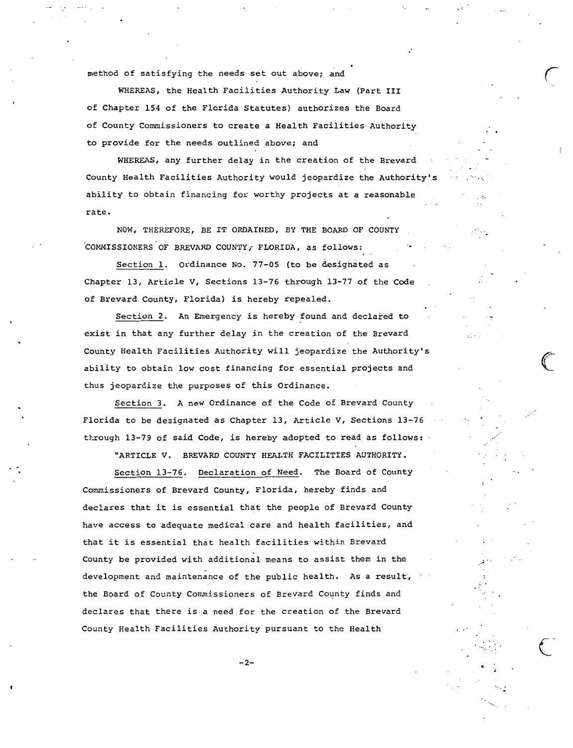method of satisfying the needs *set* out above; and

WHEREAS, the Health Facilities Authority Law (Part III of Chapter 154 of the Florida Statutes) authorizes the Board of County Commissioners to create a Health Facilities Authority to provide for the needs outlined above; and

WHEREAS, any further delay in the creation of the Brevard County Health Facilities Authority would jeopardize the Authority's ability to obtain financing for worthy projects at a reasonable rate.

NOW, THEREFORE, BE IT ORDAINED, BY THE BOARD OF COUNTY COMMISSIONERS OF BREVARD COUNTY, FLORIDA, as follows:

Section 1. Ordinance No. 77-05 (to be designated as Chapter 13, Article V, Sections 13-76 through 13-77 of the Code of Brevard County, Florida) is hereby repealed.

Section 2. An Emergency is hereby found and declared to exist in that any further delay in the creation of the Brevard County Health Facilities Authority will jeopardize the Authority's abillty to obtain low cost financing for essential projects and thus jeopardize the purposes of this Ordinance.

Section 3. A new Ordinance of the Code of Brevard County Florida to be designated as Chapter 13, Article V, Sections 13-76 through 13-79 of said Code, is hereby adopted to read as follows:

"ARTICLE V. BREVARD COUNTY HEALTH FACILITIES AUTHORITY.

Section 13-76. Declaration of Need. The Board of County Commissioners of Brevard County, Florida, hereby finds and declares that it is essential that the people of Brevard County have access *to* adequate medical care and health facilities, and that it is essential that health facilities within Brevard County be provided with additional means to assist them in the development and maintenance of the public health. As a result, the Board of County Commissioners of Brevard County finds and declares that there is a need for the creation of the Brevard County Health Facilities Authority pursuant to the Health

 $-2-$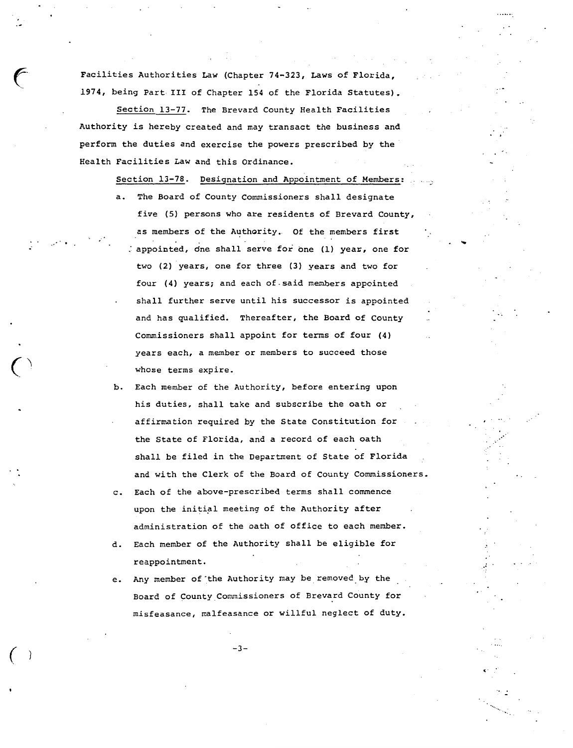Facilities Authorities Law (Chapter 74-323, Laws of Florida, **1974,** being Part III of Chapter 154 of the Florida Statutes).

Section 13-77. The Brevard County Health Facilities Authority is hereby created and may transact the business and perform the duties and exercise the powers prescribed by the Health Facilities Law and this Ordinance.

> Section 13-78. Designation and Appointment of Members: a. The Board of County Commissioners shall designate five (5) persons who are residents of Brevard County, as members of the Authority. Of the members first : appointed, one shall serve for one (1) year, one for two (2) years, one for three (3) years and two for four (4) years; and each of.said members appointed shall further serve until his successor is appointed and has qualified. Thereafter, the Board of County Commissioners shall appoint for terms of four (4) years each, a member or members to succeed those whose terms expire.

- b. Each member of the Authority, before entering upon his duties, shall take and subscribe the oath or affirmation required by the State Constitution for the State of Florida, and a record of each oath shall be filed in the Department of State of Florida and with the Clerk of the Board of County Commissioners.
- c. Each of the above-prescribed terms shall commence upon the initial meeting of the Authority after administration of the oath of office to each member.
- d. Each member of the Authority shall be eligible for reappointment.
- e. Any member of the Authority may be removed by the Board of County Commissioners of Brevard County for misfeasance, malfeasance or willful neglect of duty.

*(* -3-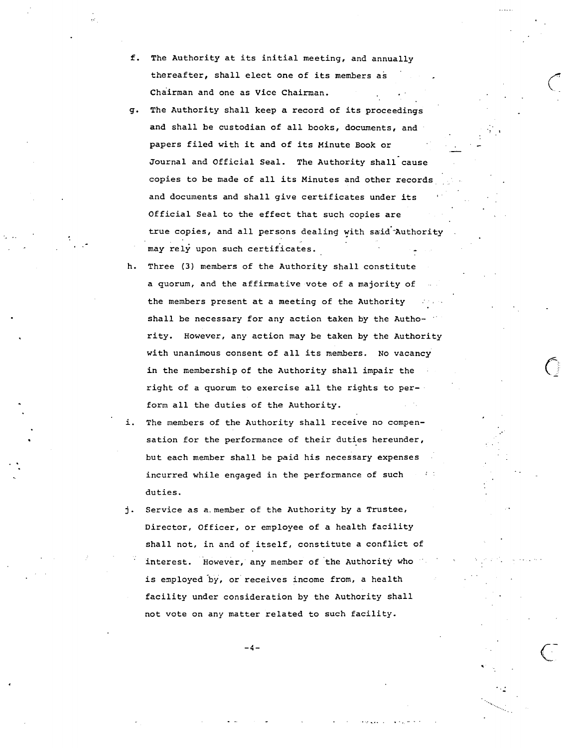- f. The Authority at its initial meeting, and annually thereafter, shall elect one of its members as Chairman and one as Vice Chairman.
- g. The Authority shall keep a record of its proceedings and shall be custodian of all books, documents, and papers filed with it and of its Minute Book or Journal and Official Seal. The Authority shall cause copies to be made of all its Minutes and other records and documents and shall give certificates under its Official Seal to the effect that such copies are true copies, and all persons dealing with said Authority may rely upon such certificates.
- h. Three (3) members of the Authority shall constitute a quorum, and the affirmative vote of a majority of the members present at a meeting of the Authority shall be necessary for any action taken by the Authority. However, any action may be taken by the Authority with unanimous consent of all its members. No vacancy in the membership of the Authority shall impair the right of a quorum to exercise all the rights to perform all the duties of the Authority.
- i. The members of the Authority shall receive no compensation for the performance of their duties hereunder, but each member shall be paid his necessary expenses incurred while engaged in the performance of such duties.
- j. Service as a.member of the Authority by a Trustee, Director, Officer, or employee of a health facility shall not, in and of itself, constitute a conflict of interest. However, any member of the Authority who is employed by, or receives income from, a health facility under consideration by the Authority shall not vote on any matter related to such facility.

 $-4-$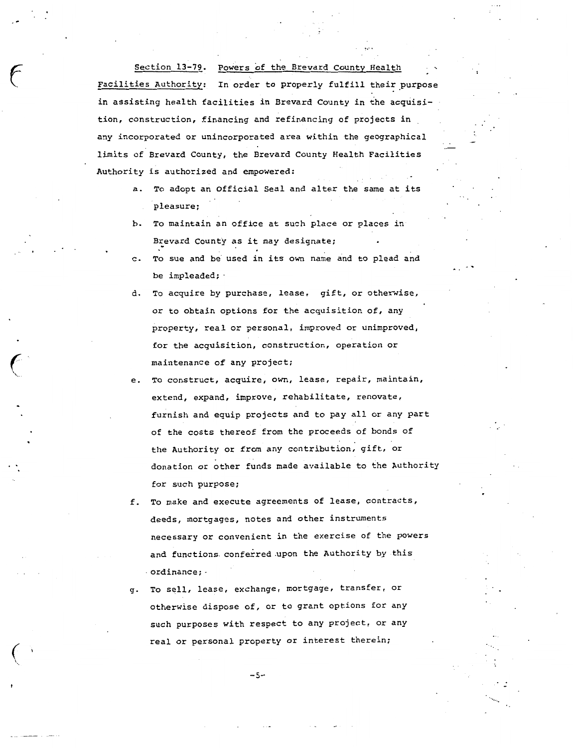Section 13-79. Powers of the Brevard County Health

.-

 $\big($ 

Facilities Authority: In order to properly fulfill their purpose in assisting health facilities in Brevard County in the acquisition, construction, financing and refinancing of projects in any incorporated or unincorporated area within the geographical limits of Brevard County, the Brevard County Health Facilities Authority is authorized and empowered:

- a. To adopt an Official Seal and alter the same at its pleasure;
- b. To maintain an office at such place or places in Brevard County as it may designate;
- c. To sue and be used in its own name and to plead and be impleaded;
- d. To acquire by purchase, lease, gift, or otherwise, or to obtain options for the acquisition of, any property, real or personal, improved or unimproved, for the acquisition, construction, operation or maintenance of any project;
- e. To construct, acquire, own, lease, repair, maintain, extend, expand, improve, rehabilitate, renovate, furnish and equip projects and to pay all or any part of the costs thereof from the proceeds of bonds of the Authority or from any contribution, gift, or donation or other funds made available to the Authority for such purpose;
- f. To make and execute agreements of lease, contracts, deeds, mortgages, notes and other instruments necessary or convenient in the exercise of the powers and functions conferred upon the Authority by this · ordinance; -
- g. To sell, lease, exchange, mortgage, transfer, or otherwise dispose of, or to grant options for any such purposes with respect to any project, or any real or personal property or interest therein;

 $-5-$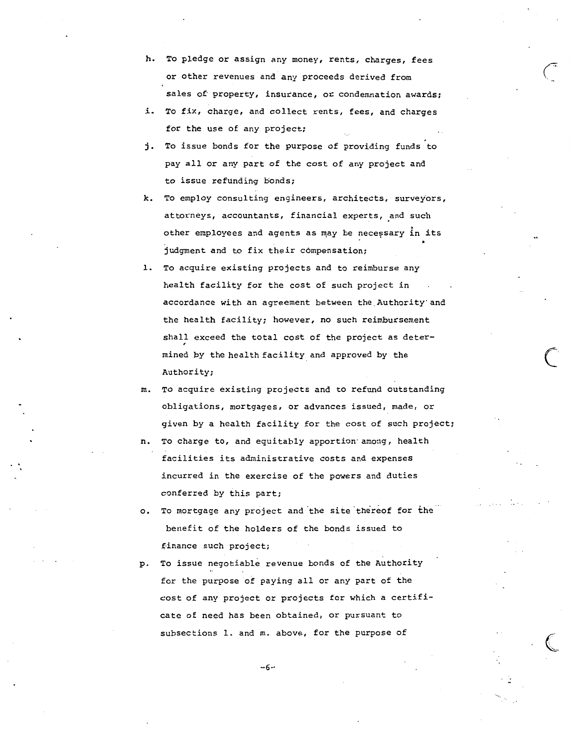- h. To pledge or assign any money, rents, charges, fees or other revenues and any proceeds derived from sales of property, insurance, or condemnation awards;
- i. To fix, charge, and collect rents, fees, and charges for the use of any project;
- j. To issue bonds for the purpose of providing funds to pay all or any part of the cost of any project and to issue refunding bonds;
- k. To employ consulting engineers, architects, surveyors, attorneys, accountants, financial experts, and such other employees and agents as may be necessary in its judgment and to fix their compensation;
- l. To acquire existing projects and to reimburse any health facility for the cost of such project in accordance with an agreement between the Authority·and the health facility; however, no such reimbursement shall exceed the total cost of the project as determined by the health facility and approved by the Authority;

 $\bigcirc$ 

- m. To acquire existing projects and to refund outstanding obligations, mortgages, or advances issued, made, or given by a health facility for the cost of such project;
- To charge to, and equitably apportion among, health facilities its administrative costs and expenses incurred in the exercise of the powers and duties conferred by this part;
- o. To mortgage any project and the site thereof for the benefit of the holders of the bonds issued to finance such project;
- p. To issue negotiable revenue bonds of the Authority for the purpose of paying all or any part of the cost of any project or projects for which a certificate of need has been obtained, or pursuant to subsections l. and m. above, for the purpose of

 $-6-$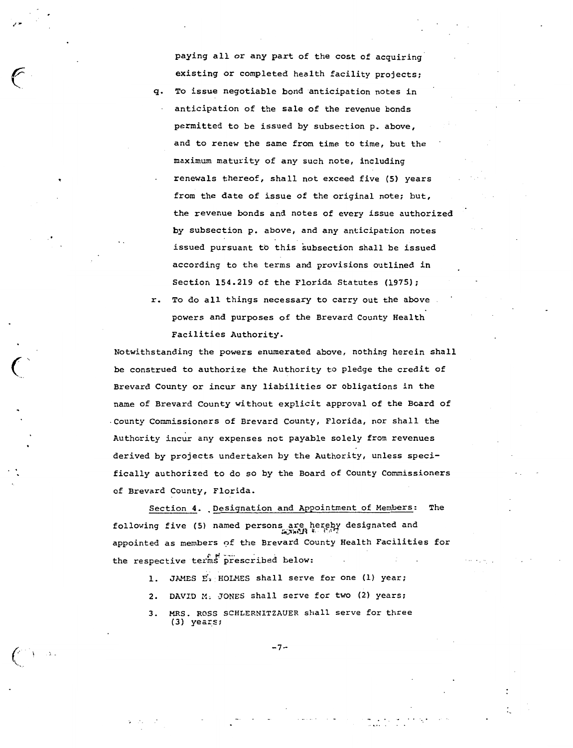paying all or any part of the cost of acquiring existing or completed health facility projects; *q.* To issue negotiable bond anticipation notes in anticipation of the sale of the revenue bonds permitted to be issued by subsection p. above, and to renew the same from time to time, but the maximum maturity of any such note, including renewals thereof, shall not exceed five (5) years from the date of issue of the original note; but, the revenue bonds and notes of every issue authorized by subsection p. above, and any anticipation notes issued pursuant to this subsection shall be issued according to the terms and provisions outlined in Section 154.219 of the Florida Statutes (1975);

r. To do all things necessary to carry out the above powers and purposes of the Brevard County Health Facilities Authority.

Notwithstanding the powers enumerated above, nothing herein shall be construed to authorize the Authority to pledge the credit of Brevard County or incur any liabilities or obligations in the name of Brevard County without explicit approval of the Board of -County Commissioners of Brevard County, Florida, nor shall the Authority incur any expenses not payable solely from revenues derived by projects undertaken by the Authority, unless specifically authorized to do so by the Board of County Commissioners of Brevard County, Florida.

Section 4. Designation and Appointment of Members: The following five (5) named persons are hereby designated and  $\frac{1}{2}$ appointed as members of the Brevard County Health Facilities for the respective terms prescribed below:

- l. JAMES E,·HOLMES shall serve for one (l) year;
- 2. DAVID M, JONES shall serve for two (2) years;
- 3. MRS. ROSS SCHLERNITZAUER shall serve for three (3) years;

-7-